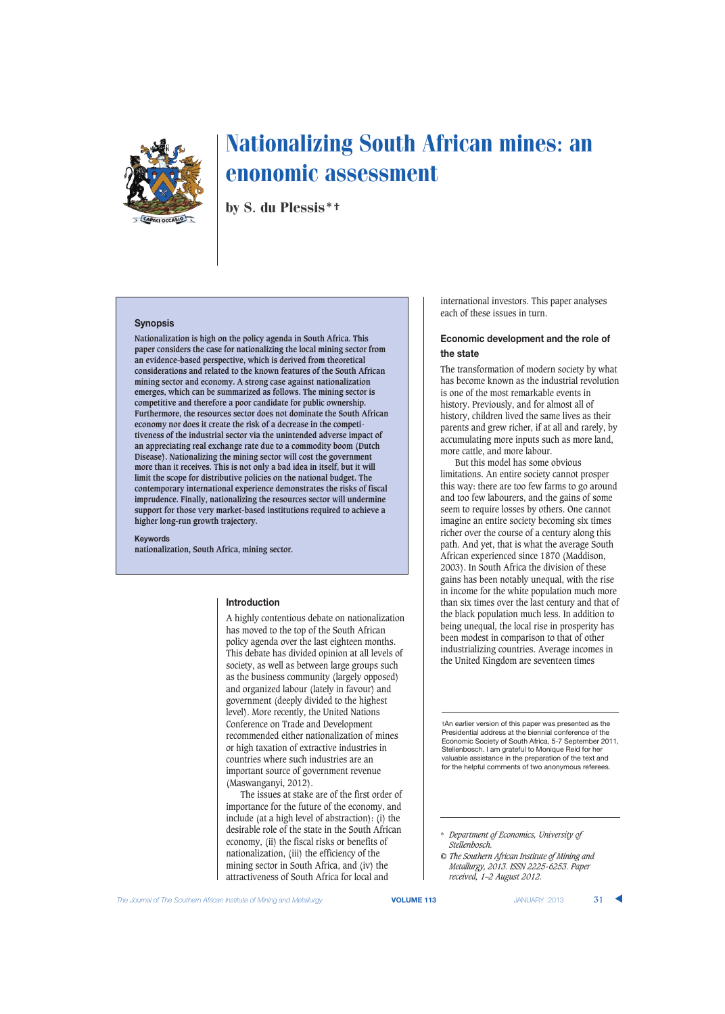

by S. du Plessis\*†

## **Synopsis**

**Nationalization is high on the policy agenda in South Africa. This paper considers the case for nationalizing the local mining sector from an evidence-based perspective, which is derived from theoretical considerations and related to the known features of the South African mining sector and economy. A strong case against nationalization emerges, which can be summarized as follows. The mining sector is competitive and therefore a poor candidate for public ownership. Furthermore, the resources sector does not dominate the South African economy nor does it create the risk of a decrease in the competitiveness of the industrial sector via the unintended adverse impact of an appreciating real exchange rate due to a commodity boom (Dutch Disease). Nationalizing the mining sector will cost the government more than it receives. This is not only a bad idea in itself, but it will limit the scope for distributive policies on the national budget. The contemporary international experience demonstrates the risks of fiscal imprudence. Finally, nationalizing the resources sector will undermine support for those very market-based institutions required to achieve a higher long-run growth trajectory.**

**Keywords nationalization, South Africa, mining sector.**

### **Introduction**

A highly contentious debate on nationalization has moved to the top of the South African policy agenda over the last eighteen months. This debate has divided opinion at all levels of society, as well as between large groups such as the business community (largely opposed) and organized labour (lately in favour) and government (deeply divided to the highest level). More recently, the United Nations Conference on Trade and Development recommended either nationalization of mines or high taxation of extractive industries in countries where such industries are an important source of government revenue (Maswanganyi, 2012).

The issues at stake are of the first order of importance for the future of the economy, and include (at a high level of abstraction): (i) the desirable role of the state in the South African economy, (ii) the fiscal risks or benefits of nationalization, (iii) the efficiency of the mining sector in South Africa, and (iv) the attractiveness of South Africa for local and

international investors. This paper analyses each of these issues in turn.

## **Economic development and the role of the state**

The transformation of modern society by what has become known as the industrial revolution is one of the most remarkable events in history. Previously, and for almost all of history, children lived the same lives as their parents and grew richer, if at all and rarely, by accumulating more inputs such as more land, more cattle, and more labour.

But this model has some obvious limitations. An entire society cannot prosper this way: there are too few farms to go around and too few labourers, and the gains of some seem to require losses by others. One cannot imagine an entire society becoming six times richer over the course of a century along this path. And yet, that is what the average South African experienced since 1870 (Maddison, 2003). In South Africa the division of these gains has been notably unequal, with the rise in income for the white population much more than six times over the last century and that of the black population much less. In addition to being unequal, the local rise in prosperity has been modest in comparison to that of other industrializing countries. Average incomes in the United Kingdom are seventeen times

†An earlier version of this paper was presented as the Presidential address at the biennial conference of the Economic Society of South Africa, 5-7 September 2011, Stellenbosch. I am grateful to Monique Reid for her valuable assistance in the preparation of the text and for the helpful comments of two anonymous referees.

<sup>\*</sup> *Department of Economics, University of Stellenbosch.*

*<sup>©</sup> The Southern African Institute of Mining and Metallurgy, 2013. ISSN 2225-6253. Paper received, 1–2 August 2012.*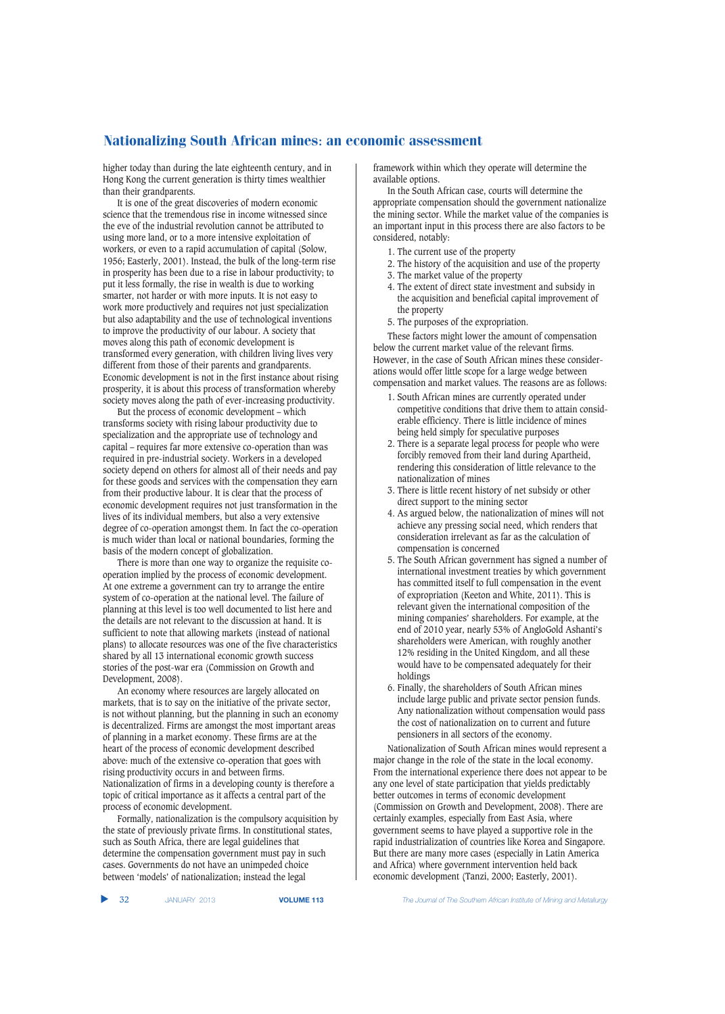higher today than during the late eighteenth century, and in Hong Kong the current generation is thirty times wealthier than their grandparents.

It is one of the great discoveries of modern economic science that the tremendous rise in income witnessed since the eve of the industrial revolution cannot be attributed to using more land, or to a more intensive exploitation of workers, or even to a rapid accumulation of capital (Solow, 1956; Easterly, 2001). Instead, the bulk of the long-term rise in prosperity has been due to a rise in labour productivity; to put it less formally, the rise in wealth is due to working smarter, not harder or with more inputs. It is not easy to work more productively and requires not just specialization but also adaptability and the use of technological inventions to improve the productivity of our labour. A society that moves along this path of economic development is transformed every generation, with children living lives very different from those of their parents and grandparents. Economic development is not in the first instance about rising prosperity, it is about this process of transformation whereby society moves along the path of ever-increasing productivity.

But the process of economic development – which transforms society with rising labour productivity due to specialization and the appropriate use of technology and capital – requires far more extensive co-operation than was required in pre-industrial society. Workers in a developed society depend on others for almost all of their needs and pay for these goods and services with the compensation they earn from their productive labour. It is clear that the process of economic development requires not just transformation in the lives of its individual members, but also a very extensive degree of co-operation amongst them. In fact the co-operation is much wider than local or national boundaries, forming the basis of the modern concept of globalization.

There is more than one way to organize the requisite cooperation implied by the process of economic development. At one extreme a government can try to arrange the entire system of co-operation at the national level. The failure of planning at this level is too well documented to list here and the details are not relevant to the discussion at hand. It is sufficient to note that allowing markets (instead of national plans) to allocate resources was one of the five characteristics shared by all 13 international economic growth success stories of the post-war era (Commission on Growth and Development, 2008).

An economy where resources are largely allocated on markets, that is to say on the initiative of the private sector, is not without planning, but the planning in such an economy is decentralized. Firms are amongst the most important areas of planning in a market economy. These firms are at the heart of the process of economic development described above: much of the extensive co-operation that goes with rising productivity occurs in and between firms. Nationalization of firms in a developing county is therefore a topic of critical importance as it affects a central part of the process of economic development.

Formally, nationalization is the compulsory acquisition by the state of previously private firms. In constitutional states, such as South Africa, there are legal guidelines that determine the compensation government must pay in such cases. Governments do not have an unimpeded choice between 'models' of nationalization; instead the legal

framework within which they operate will determine the available options.

In the South African case, courts will determine the appropriate compensation should the government nationalize the mining sector. While the market value of the companies is an important input in this process there are also factors to be considered, notably:

- 1. The current use of the property
- 2. The history of the acquisition and use of the property 3. The market value of the property
- 4. The extent of direct state investment and subsidy in the acquisition and beneficial capital improvement of the property
- 5. The purposes of the expropriation.

These factors might lower the amount of compensation below the current market value of the relevant firms. However, in the case of South African mines these considerations would offer little scope for a large wedge between compensation and market values. The reasons are as follows:

- 1. South African mines are currently operated under competitive conditions that drive them to attain considerable efficiency. There is little incidence of mines being held simply for speculative purposes
- 2. There is a separate legal process for people who were forcibly removed from their land during Apartheid, rendering this consideration of little relevance to the nationalization of mines
- 3. There is little recent history of net subsidy or other direct support to the mining sector
- 4. As argued below, the nationalization of mines will not achieve any pressing social need, which renders that consideration irrelevant as far as the calculation of compensation is concerned
- 5. The South African government has signed a number of international investment treaties by which government has committed itself to full compensation in the event of expropriation (Keeton and White, 2011). This is relevant given the international composition of the mining companies' shareholders. For example, at the end of 2010 year, nearly 53% of AngloGold Ashanti's shareholders were American, with roughly another 12% residing in the United Kingdom, and all these would have to be compensated adequately for their holdings
- 6. Finally, the shareholders of South African mines include large public and private sector pension funds. Any nationalization without compensation would pass the cost of nationalization on to current and future pensioners in all sectors of the economy.

Nationalization of South African mines would represent a major change in the role of the state in the local economy. From the international experience there does not appear to be any one level of state participation that yields predictably better outcomes in terms of economic development (Commission on Growth and Development, 2008). There are certainly examples, especially from East Asia, where government seems to have played a supportive role in the rapid industrialization of countries like Korea and Singapore. But there are many more cases (especially in Latin America and Africa) where government intervention held back economic development (Tanzi, 2000; Easterly, 2001).

▲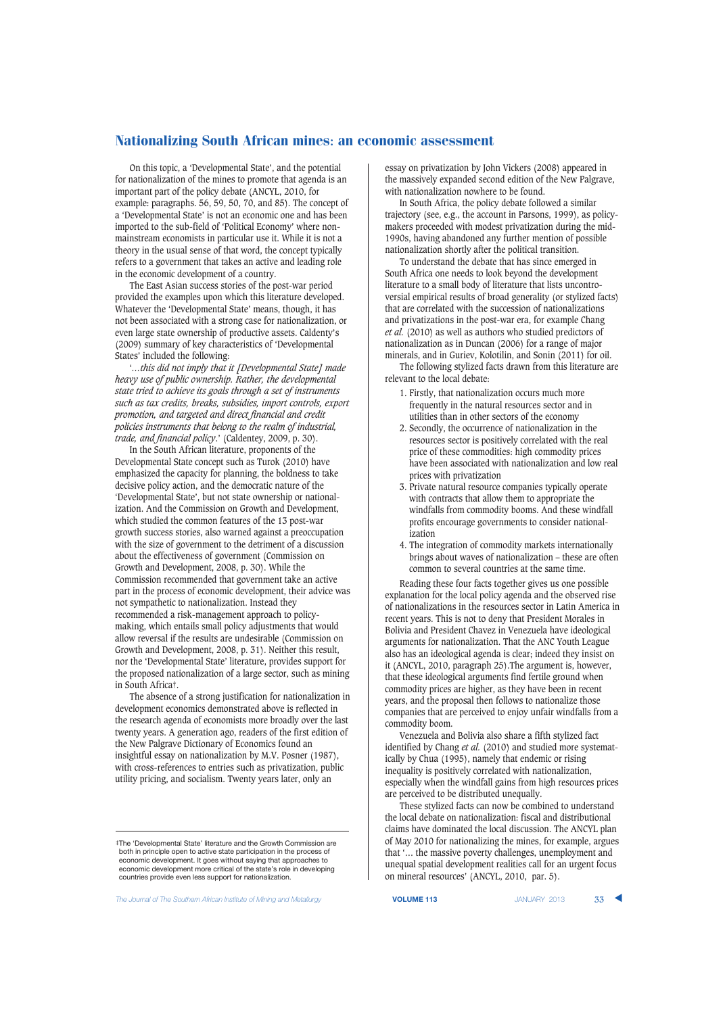On this topic, a 'Developmental State', and the potential for nationalization of the mines to promote that agenda is an important part of the policy debate (ANCYL, 2010, for example: paragraphs. 56, 59, 50, 70, and 85). The concept of a 'Developmental State' is not an economic one and has been imported to the sub-field of 'Political Economy' where nonmainstream economists in particular use it. While it is not a theory in the usual sense of that word, the concept typically refers to a government that takes an active and leading role in the economic development of a country.

The East Asian success stories of the post-war period provided the examples upon which this literature developed. Whatever the 'Developmental State' means, though, it has not been associated with a strong case for nationalization, or even large state ownership of productive assets. Caldenty's (2009) summary of key characteristics of 'Developmental States' included the following:

'*…this did not imply that it [Developmental State] made heavy use of public ownership. Rather, the developmental state tried to achieve its goals through a set of instruments such as tax credits, breaks, subsidies, import controls, export promotion, and targeted and direct financial and credit policies instruments that belong to the realm of industrial, trade, and financial policy*.' (Caldentey, 2009, p. 30).

In the South African literature, proponents of the Developmental State concept such as Turok (2010) have emphasized the capacity for planning, the boldness to take decisive policy action, and the democratic nature of the 'Developmental State', but not state ownership or nationalization. And the Commission on Growth and Development, which studied the common features of the 13 post-war growth success stories, also warned against a preoccupation with the size of government to the detriment of a discussion about the effectiveness of government (Commission on Growth and Development, 2008, p. 30). While the Commission recommended that government take an active part in the process of economic development, their advice was not sympathetic to nationalization. Instead they recommended a risk-management approach to policymaking, which entails small policy adjustments that would allow reversal if the results are undesirable (Commission on Growth and Development, 2008, p. 31). Neither this result, nor the 'Developmental State' literature, provides support for the proposed nationalization of a large sector, such as mining in South Africa‡.

The absence of a strong justification for nationalization in development economics demonstrated above is reflected in the research agenda of economists more broadly over the last twenty years. A generation ago, readers of the first edition of the New Palgrave Dictionary of Economics found an insightful essay on nationalization by M.V. Posner (1987), with cross-references to entries such as privatization, public utility pricing, and socialism. Twenty years later, only an

‡The 'Developmental State' literature and the Growth Commission are both in principle open to active state participation in the process of economic development. It goes without saying that approaches to economic development more critical of the state's role in developing countries provide even less support for nationalization.

**The Journal of The Southern African Institute of Mining and Metallurgy <b>VOLUME 113 VOLUME 113** JANUARY 2013 **33** 

essay on privatization by John Vickers (2008) appeared in the massively expanded second edition of the New Palgrave, with nationalization nowhere to be found.

In South Africa, the policy debate followed a similar trajectory (see, e.g., the account in Parsons, 1999), as policymakers proceeded with modest privatization during the mid-1990s, having abandoned any further mention of possible nationalization shortly after the political transition.

To understand the debate that has since emerged in South Africa one needs to look beyond the development literature to a small body of literature that lists uncontroversial empirical results of broad generality (or stylized facts) that are correlated with the succession of nationalizations and privatizations in the post-war era, for example Chang *et al.* (2010) as well as authors who studied predictors of nationalization as in Duncan (2006) for a range of major minerals, and in Guriev, Kolotilin, and Sonin (2011) for oil.

The following stylized facts drawn from this literature are relevant to the local debate:

- 1. Firstly, that nationalization occurs much more frequently in the natural resources sector and in utilities than in other sectors of the economy
- 2. Secondly, the occurrence of nationalization in the resources sector is positively correlated with the real price of these commodities: high commodity prices have been associated with nationalization and low real prices with privatization
- 3. Private natural resource companies typically operate with contracts that allow them to appropriate the windfalls from commodity booms. And these windfall profits encourage governments to consider nationalization
- 4. The integration of commodity markets internationally brings about waves of nationalization – these are often common to several countries at the same time.

Reading these four facts together gives us one possible explanation for the local policy agenda and the observed rise of nationalizations in the resources sector in Latin America in recent years. This is not to deny that President Morales in Bolivia and President Chavez in Venezuela have ideological arguments for nationalization. That the ANC Youth League also has an ideological agenda is clear; indeed they insist on it (ANCYL, 2010, paragraph 25).The argument is, however, that these ideological arguments find fertile ground when commodity prices are higher, as they have been in recent years, and the proposal then follows to nationalize those companies that are perceived to enjoy unfair windfalls from a commodity boom.

Venezuela and Bolivia also share a fifth stylized fact identified by Chang *et al.* (2010) and studied more systematically by Chua (1995), namely that endemic or rising inequality is positively correlated with nationalization, especially when the windfall gains from high resources prices are perceived to be distributed unequally.

These stylized facts can now be combined to understand the local debate on nationalization: fiscal and distributional claims have dominated the local discussion. The ANCYL plan of May 2010 for nationalizing the mines, for example, argues that '… the massive poverty challenges, unemployment and unequal spatial development realities call for an urgent focus on mineral resources' (ANCYL, 2010, par. 5).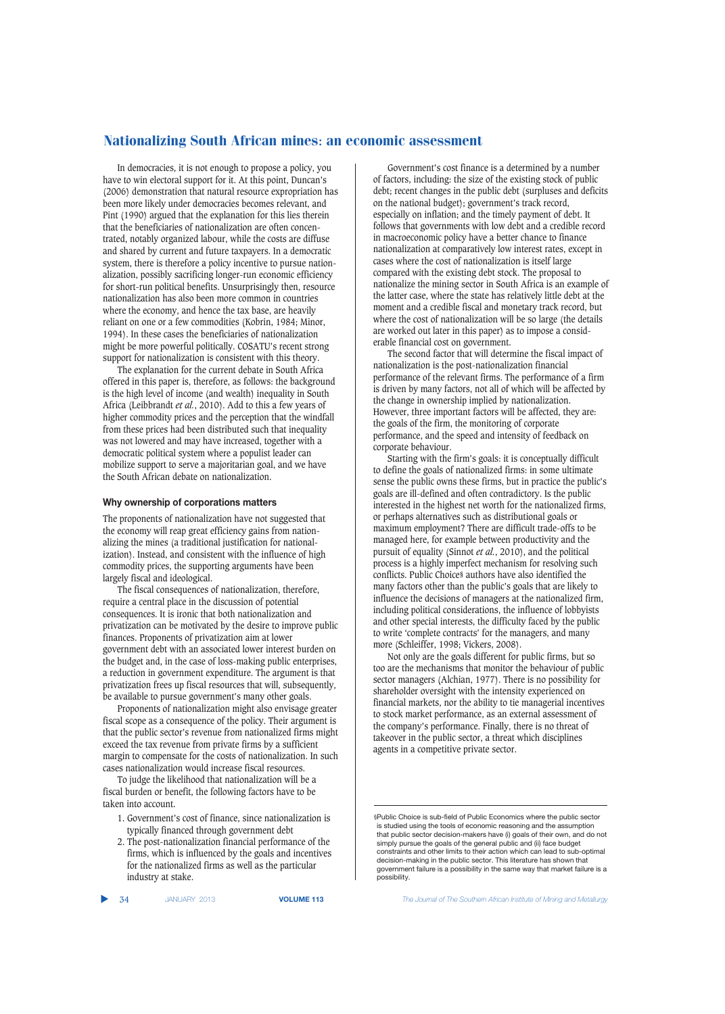In democracies, it is not enough to propose a policy, you have to win electoral support for it. At this point, Duncan's (2006) demonstration that natural resource expropriation has been more likely under democracies becomes relevant, and Pint (1990) argued that the explanation for this lies therein that the beneficiaries of nationalization are often concentrated, notably organized labour, while the costs are diffuse and shared by current and future taxpayers. In a democratic system, there is therefore a policy incentive to pursue nationalization, possibly sacrificing longer-run economic efficiency for short-run political benefits. Unsurprisingly then, resource nationalization has also been more common in countries where the economy, and hence the tax base, are heavily reliant on one or a few commodities (Kobrin, 1984; Minor, 1994). In these cases the beneficiaries of nationalization might be more powerful politically. COSATU's recent strong support for nationalization is consistent with this theory.

The explanation for the current debate in South Africa offered in this paper is, therefore, as follows: the background is the high level of income (and wealth) inequality in South Africa (Leibbrandt *et al.*, 2010). Add to this a few years of higher commodity prices and the perception that the windfall from these prices had been distributed such that inequality was not lowered and may have increased, together with a democratic political system where a populist leader can mobilize support to serve a majoritarian goal, and we have the South African debate on nationalization.

#### **Why ownership of corporations matters**

The proponents of nationalization have not suggested that the economy will reap great efficiency gains from nationalizing the mines (a traditional justification for nationalization). Instead, and consistent with the influence of high commodity prices, the supporting arguments have been largely fiscal and ideological.

The fiscal consequences of nationalization, therefore, require a central place in the discussion of potential consequences. It is ironic that both nationalization and privatization can be motivated by the desire to improve public finances. Proponents of privatization aim at lower government debt with an associated lower interest burden on the budget and, in the case of loss-making public enterprises, a reduction in government expenditure. The argument is that privatization frees up fiscal resources that will, subsequently, be available to pursue government's many other goals.

Proponents of nationalization might also envisage greater fiscal scope as a consequence of the policy. Their argument is that the public sector's revenue from nationalized firms might exceed the tax revenue from private firms by a sufficient margin to compensate for the costs of nationalization. In such cases nationalization would increase fiscal resources.

To judge the likelihood that nationalization will be a fiscal burden or benefit, the following factors have to be taken into account.

- 1. Government's cost of finance, since nationalization is typically financed through government debt
- 2. The post-nationalization financial performance of the firms, which is influenced by the goals and incentives for the nationalized firms as well as the particular industry at stake.

▲

Government's cost finance is a determined by a number of factors, including: the size of the existing stock of public debt; recent changes in the public debt (surpluses and deficits on the national budget); government's track record, especially on inflation; and the timely payment of debt. It follows that governments with low debt and a credible record in macroeconomic policy have a better chance to finance nationalization at comparatively low interest rates, except in cases where the cost of nationalization is itself large compared with the existing debt stock. The proposal to nationalize the mining sector in South Africa is an example of the latter case, where the state has relatively little debt at the moment and a credible fiscal and monetary track record, but where the cost of nationalization will be so large (the details are worked out later in this paper) as to impose a considerable financial cost on government.

The second factor that will determine the fiscal impact of nationalization is the post-nationalization financial performance of the relevant firms. The performance of a firm is driven by many factors, not all of which will be affected by the change in ownership implied by nationalization. However, three important factors will be affected, they are: the goals of the firm, the monitoring of corporate performance, and the speed and intensity of feedback on corporate behaviour.

Starting with the firm's goals: it is conceptually difficult to define the goals of nationalized firms: in some ultimate sense the public owns these firms, but in practice the public's goals are ill-defined and often contradictory. Is the public interested in the highest net worth for the nationalized firms, or perhaps alternatives such as distributional goals or maximum employment? There are difficult trade-offs to be managed here, for example between productivity and the pursuit of equality (Sinnot *et al.*, 2010), and the political process is a highly imperfect mechanism for resolving such conflicts. Public Choice§ authors have also identified the many factors other than the public's goals that are likely to influence the decisions of managers at the nationalized firm, including political considerations, the influence of lobbyists and other special interests, the difficulty faced by the public to write 'complete contracts' for the managers, and many more (Schleiffer, 1998; Vickers, 2008).

Not only are the goals different for public firms, but so too are the mechanisms that monitor the behaviour of public sector managers (Alchian, 1977). There is no possibility for shareholder oversight with the intensity experienced on financial markets, nor the ability to tie managerial incentives to stock market performance, as an external assessment of the company's performance. Finally, there is no threat of takeover in the public sector, a threat which disciplines agents in a competitive private sector.

34 JANUARY 2013 **VOLUME 113** *The Journal of The Southern African Institute of Mining and Metallurgy*

<sup>§</sup>Public Choice is sub-field of Public Economics where the public sector is studied using the tools of economic reasoning and the assumption that public sector decision-makers have (i) goals of their own, and do not simply pursue the goals of the general public and (ii) face budget constraints and other limits to their action which can lead to sub-optimal decision-making in the public sector. This literature has shown that government failure is a possibility in the same way that market failure is a possibility.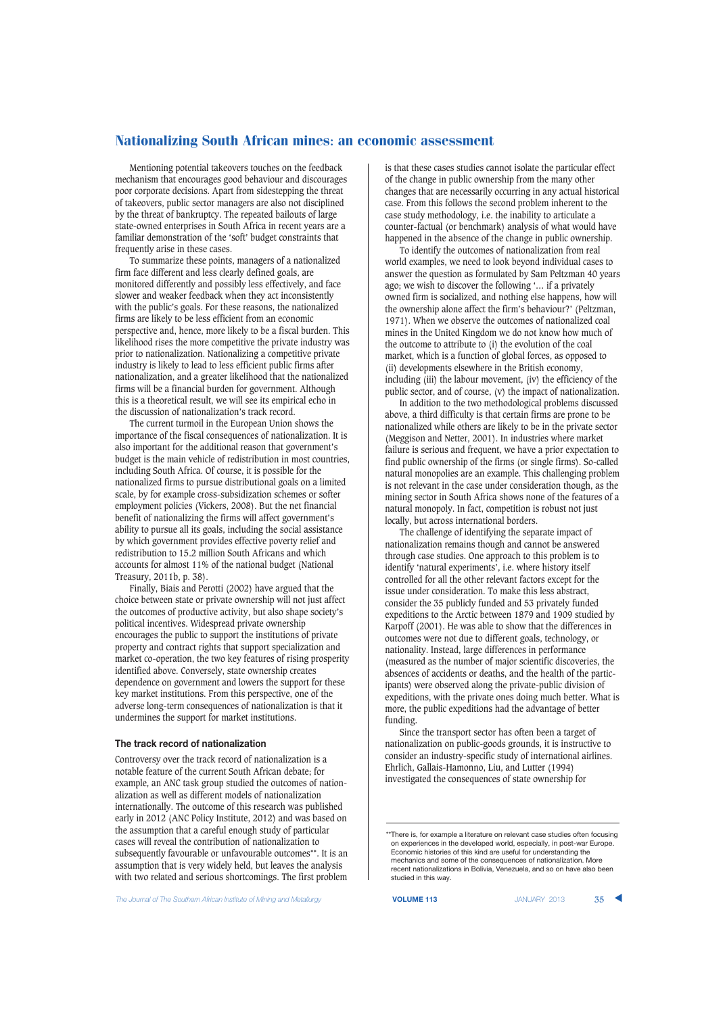Mentioning potential takeovers touches on the feedback mechanism that encourages good behaviour and discourages poor corporate decisions. Apart from sidestepping the threat of takeovers, public sector managers are also not disciplined by the threat of bankruptcy. The repeated bailouts of large state-owned enterprises in South Africa in recent years are a familiar demonstration of the 'soft' budget constraints that frequently arise in these cases.

To summarize these points, managers of a nationalized firm face different and less clearly defined goals, are monitored differently and possibly less effectively, and face slower and weaker feedback when they act inconsistently with the public's goals. For these reasons, the nationalized firms are likely to be less efficient from an economic perspective and, hence, more likely to be a fiscal burden. This likelihood rises the more competitive the private industry was prior to nationalization. Nationalizing a competitive private industry is likely to lead to less efficient public firms after nationalization, and a greater likelihood that the nationalized firms will be a financial burden for government. Although this is a theoretical result, we will see its empirical echo in the discussion of nationalization's track record.

The current turmoil in the European Union shows the importance of the fiscal consequences of nationalization. It is also important for the additional reason that government's budget is the main vehicle of redistribution in most countries, including South Africa. Of course, it is possible for the nationalized firms to pursue distributional goals on a limited scale, by for example cross-subsidization schemes or softer employment policies (Vickers, 2008). But the net financial benefit of nationalizing the firms will affect government's ability to pursue all its goals, including the social assistance by which government provides effective poverty relief and redistribution to 15.2 million South Africans and which accounts for almost 11% of the national budget (National Treasury, 2011b, p. 38).

Finally, Biais and Perotti (2002) have argued that the choice between state or private ownership will not just affect the outcomes of productive activity, but also shape society's political incentives. Widespread private ownership encourages the public to support the institutions of private property and contract rights that support specialization and market co-operation, the two key features of rising prosperity identified above. Conversely, state ownership creates dependence on government and lowers the support for these key market institutions. From this perspective, one of the adverse long-term consequences of nationalization is that it undermines the support for market institutions.

#### **The track record of nationalization**

Controversy over the track record of nationalization is a notable feature of the current South African debate; for example, an ANC task group studied the outcomes of nationalization as well as different models of nationalization internationally. The outcome of this research was published early in 2012 (ANC Policy Institute, 2012) and was based on the assumption that a careful enough study of particular cases will reveal the contribution of nationalization to subsequently favourable or unfavourable outcomes\*\*. It is an assumption that is very widely held, but leaves the analysis with two related and serious shortcomings. The first problem

is that these cases studies cannot isolate the particular effect of the change in public ownership from the many other changes that are necessarily occurring in any actual historical case. From this follows the second problem inherent to the case study methodology, i.e. the inability to articulate a counter-factual (or benchmark) analysis of what would have happened in the absence of the change in public ownership.

To identify the outcomes of nationalization from real world examples, we need to look beyond individual cases to answer the question as formulated by Sam Peltzman 40 years ago; we wish to discover the following '… if a privately owned firm is socialized, and nothing else happens, how will the ownership alone affect the firm's behaviour?' (Peltzman, 1971). When we observe the outcomes of nationalized coal mines in the United Kingdom we do not know how much of the outcome to attribute to (i) the evolution of the coal market, which is a function of global forces, as opposed to (ii) developments elsewhere in the British economy, including (iii) the labour movement, (iv) the efficiency of the public sector, and of course, (v) the impact of nationalization.

In addition to the two methodological problems discussed above, a third difficulty is that certain firms are prone to be nationalized while others are likely to be in the private sector (Meggison and Netter, 2001). In industries where market failure is serious and frequent, we have a prior expectation to find public ownership of the firms (or single firms). So-called natural monopolies are an example. This challenging problem is not relevant in the case under consideration though, as the mining sector in South Africa shows none of the features of a natural monopoly. In fact, competition is robust not just locally, but across international borders.

The challenge of identifying the separate impact of nationalization remains though and cannot be answered through case studies. One approach to this problem is to identify 'natural experiments', i.e. where history itself controlled for all the other relevant factors except for the issue under consideration. To make this less abstract, consider the 35 publicly funded and 53 privately funded expeditions to the Arctic between 1879 and 1909 studied by Karpoff (2001). He was able to show that the differences in outcomes were not due to different goals, technology, or nationality. Instead, large differences in performance (measured as the number of major scientific discoveries, the absences of accidents or deaths, and the health of the participants) were observed along the private-public division of expeditions, with the private ones doing much better. What is more, the public expeditions had the advantage of better funding.

Since the transport sector has often been a target of nationalization on public-goods grounds, it is instructive to consider an industry-specific study of international airlines. Ehrlich, Gallais-Hamonno, Liu, and Lutter (1994) investigated the consequences of state ownership for



<sup>\*\*</sup>There is, for example a literature on relevant case studies often focusing on experiences in the developed world, especially, in post-war Europe. Economic histories of this kind are useful for understanding the mechanics and some of the consequences of nationalization. More recent nationalizations in Bolivia, Venezuela, and so on have also been studied in this way.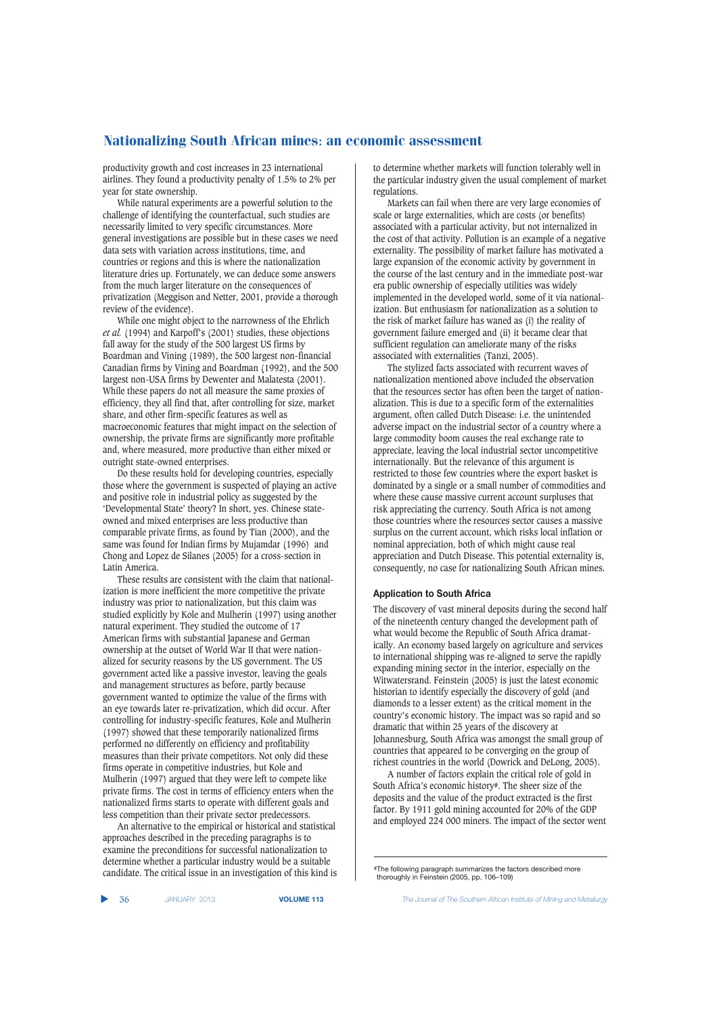productivity growth and cost increases in 23 international airlines. They found a productivity penalty of 1.5% to 2% per year for state ownership.

While natural experiments are a powerful solution to the challenge of identifying the counterfactual, such studies are necessarily limited to very specific circumstances. More general investigations are possible but in these cases we need data sets with variation across institutions, time, and countries or regions and this is where the nationalization literature dries up. Fortunately, we can deduce some answers from the much larger literature on the consequences of privatization (Meggison and Netter, 2001, provide a thorough review of the evidence).

While one might object to the narrowness of the Ehrlich *et al.* (1994) and Karpoff's (2001) studies, these objections fall away for the study of the 500 largest US firms by Boardman and Vining (1989), the 500 largest non-financial Canadian firms by Vining and Boardman (1992), and the 500 largest non-USA firms by Dewenter and Malatesta (2001). While these papers do not all measure the same proxies of efficiency, they all find that, after controlling for size, market share, and other firm-specific features as well as macroeconomic features that might impact on the selection of ownership, the private firms are significantly more profitable and, where measured, more productive than either mixed or outright state-owned enterprises.

Do these results hold for developing countries, especially those where the government is suspected of playing an active and positive role in industrial policy as suggested by the 'Developmental State' theory? In short, yes. Chinese stateowned and mixed enterprises are less productive than comparable private firms, as found by Tian (2000), and the same was found for Indian firms by Mujamdar (1996) and Chong and Lopez de Silanes (2005) for a cross-section in Latin America.

These results are consistent with the claim that nationalization is more inefficient the more competitive the private industry was prior to nationalization, but this claim was studied explicitly by Kole and Mulherin (1997) using another natural experiment. They studied the outcome of 17 American firms with substantial Japanese and German ownership at the outset of World War II that were nationalized for security reasons by the US government. The US government acted like a passive investor, leaving the goals and management structures as before, partly because government wanted to optimize the value of the firms with an eye towards later re-privatization, which did occur. After controlling for industry-specific features, Kole and Mulherin (1997) showed that these temporarily nationalized firms performed no differently on efficiency and profitability measures than their private competitors. Not only did these firms operate in competitive industries, but Kole and Mulherin (1997) argued that they were left to compete like private firms. The cost in terms of efficiency enters when the nationalized firms starts to operate with different goals and less competition than their private sector predecessors.

An alternative to the empirical or historical and statistical approaches described in the preceding paragraphs is to examine the preconditions for successful nationalization to determine whether a particular industry would be a suitable candidate. The critical issue in an investigation of this kind is to determine whether markets will function tolerably well in the particular industry given the usual complement of market regulations.

Markets can fail when there are very large economies of scale or large externalities, which are costs (or benefits) associated with a particular activity, but not internalized in the cost of that activity. Pollution is an example of a negative externality. The possibility of market failure has motivated a large expansion of the economic activity by government in the course of the last century and in the immediate post-war era public ownership of especially utilities was widely implemented in the developed world, some of it via nationalization. But enthusiasm for nationalization as a solution to the risk of market failure has waned as (i) the reality of government failure emerged and (ii) it became clear that sufficient regulation can ameliorate many of the risks associated with externalities (Tanzi, 2005).

The stylized facts associated with recurrent waves of nationalization mentioned above included the observation that the resources sector has often been the target of nationalization. This is due to a specific form of the externalities argument, often called Dutch Disease: i.e. the unintended adverse impact on the industrial sector of a country where a large commodity boom causes the real exchange rate to appreciate, leaving the local industrial sector uncompetitive internationally. But the relevance of this argument is restricted to those few countries where the export basket is dominated by a single or a small number of commodities and where these cause massive current account surpluses that risk appreciating the currency. South Africa is not among those countries where the resources sector causes a massive surplus on the current account, which risks local inflation or nominal appreciation, both of which might cause real appreciation and Dutch Disease. This potential externality is, consequently, no case for nationalizing South African mines.

## **Application to South Africa**

The discovery of vast mineral deposits during the second half of the nineteenth century changed the development path of what would become the Republic of South Africa dramatically. An economy based largely on agriculture and services to international shipping was re-aligned to serve the rapidly expanding mining sector in the interior, especially on the Witwatersrand. Feinstein (2005) is just the latest economic historian to identify especially the discovery of gold (and diamonds to a lesser extent) as the critical moment in the country's economic history. The impact was so rapid and so dramatic that within 25 years of the discovery at Johannesburg, South Africa was amongst the small group of countries that appeared to be converging on the group of richest countries in the world (Dowrick and DeLong, 2005).

A number of factors explain the critical role of gold in South Africa's economic history#. The sheer size of the deposits and the value of the product extracted is the first factor. By 1911 gold mining accounted for 20% of the GDP and employed 224 000 miners. The impact of the sector went

<sup>#</sup>The following paragraph summarizes the factors described more thoroughly in Feinstein (2005, pp. 106–109)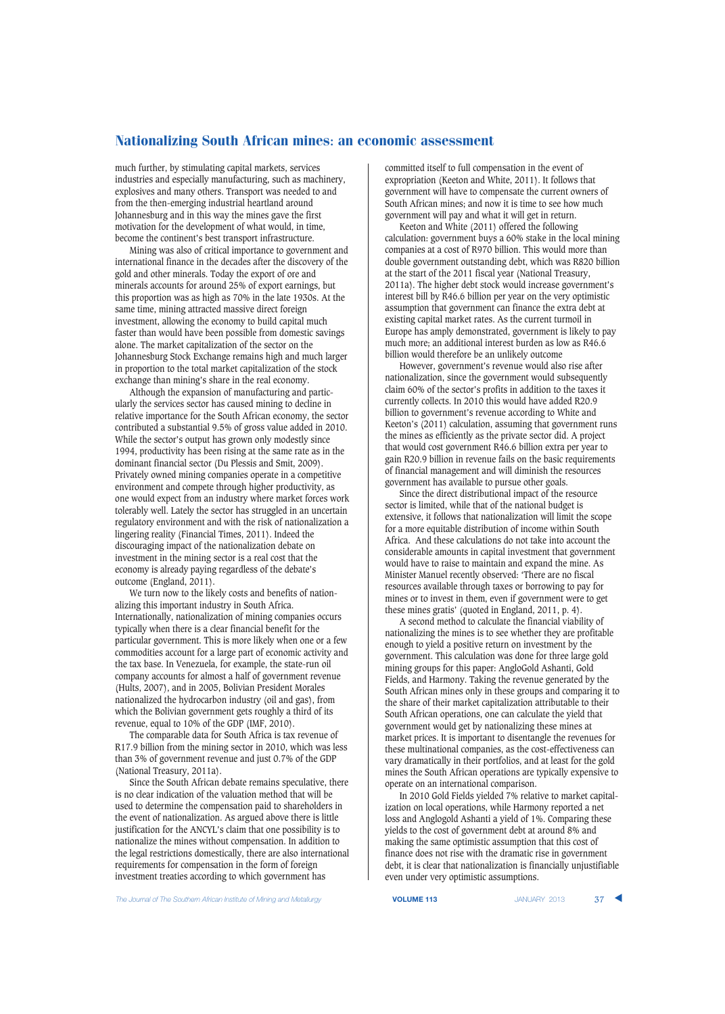much further, by stimulating capital markets, services industries and especially manufacturing, such as machinery, explosives and many others. Transport was needed to and from the then-emerging industrial heartland around Johannesburg and in this way the mines gave the first motivation for the development of what would, in time, become the continent's best transport infrastructure.

Mining was also of critical importance to government and international finance in the decades after the discovery of the gold and other minerals. Today the export of ore and minerals accounts for around 25% of export earnings, but this proportion was as high as 70% in the late 1930s. At the same time, mining attracted massive direct foreign investment, allowing the economy to build capital much faster than would have been possible from domestic savings alone. The market capitalization of the sector on the Johannesburg Stock Exchange remains high and much larger in proportion to the total market capitalization of the stock exchange than mining's share in the real economy.

Although the expansion of manufacturing and particularly the services sector has caused mining to decline in relative importance for the South African economy, the sector contributed a substantial 9.5% of gross value added in 2010. While the sector's output has grown only modestly since 1994, productivity has been rising at the same rate as in the dominant financial sector (Du Plessis and Smit, 2009). Privately owned mining companies operate in a competitive environment and compete through higher productivity, as one would expect from an industry where market forces work tolerably well. Lately the sector has struggled in an uncertain regulatory environment and with the risk of nationalization a lingering reality (Financial Times, 2011). Indeed the discouraging impact of the nationalization debate on investment in the mining sector is a real cost that the economy is already paying regardless of the debate's outcome (England, 2011).

We turn now to the likely costs and benefits of nationalizing this important industry in South Africa. Internationally, nationalization of mining companies occurs typically when there is a clear financial benefit for the particular government. This is more likely when one or a few commodities account for a large part of economic activity and the tax base. In Venezuela, for example, the state-run oil company accounts for almost a half of government revenue (Hults, 2007), and in 2005, Bolivian President Morales nationalized the hydrocarbon industry (oil and gas), from which the Bolivian government gets roughly a third of its revenue, equal to 10% of the GDP (IMF, 2010).

The comparable data for South Africa is tax revenue of R17.9 billion from the mining sector in 2010, which was less than 3% of government revenue and just 0.7% of the GDP (National Treasury, 2011a).

Since the South African debate remains speculative, there is no clear indication of the valuation method that will be used to determine the compensation paid to shareholders in the event of nationalization. As argued above there is little justification for the ANCYL's claim that one possibility is to nationalize the mines without compensation. In addition to the legal restrictions domestically, there are also international requirements for compensation in the form of foreign investment treaties according to which government has

committed itself to full compensation in the event of expropriation (Keeton and White, 2011). It follows that government will have to compensate the current owners of South African mines; and now it is time to see how much government will pay and what it will get in return.

Keeton and White (2011) offered the following calculation: government buys a 60% stake in the local mining companies at a cost of R970 billion. This would more than double government outstanding debt, which was R820 billion at the start of the 2011 fiscal year (National Treasury, 2011a). The higher debt stock would increase government's interest bill by R46.6 billion per year on the very optimistic assumption that government can finance the extra debt at existing capital market rates. As the current turmoil in Europe has amply demonstrated, government is likely to pay much more; an additional interest burden as low as R46.6 billion would therefore be an unlikely outcome

However, government's revenue would also rise after nationalization, since the government would subsequently claim 60% of the sector's profits in addition to the taxes it currently collects. In 2010 this would have added R20.9 billion to government's revenue according to White and Keeton's (2011) calculation, assuming that government runs the mines as efficiently as the private sector did. A project that would cost government R46.6 billion extra per year to gain R20.9 billion in revenue fails on the basic requirements of financial management and will diminish the resources government has available to pursue other goals.

Since the direct distributional impact of the resource sector is limited, while that of the national budget is extensive, it follows that nationalization will limit the scope for a more equitable distribution of income within South Africa. And these calculations do not take into account the considerable amounts in capital investment that government would have to raise to maintain and expand the mine. As Minister Manuel recently observed: 'There are no fiscal resources available through taxes or borrowing to pay for mines or to invest in them, even if government were to get these mines gratis' (quoted in England, 2011, p. 4).

A second method to calculate the financial viability of nationalizing the mines is to see whether they are profitable enough to yield a positive return on investment by the government. This calculation was done for three large gold mining groups for this paper: AngloGold Ashanti, Gold Fields, and Harmony. Taking the revenue generated by the South African mines only in these groups and comparing it to the share of their market capitalization attributable to their South African operations, one can calculate the yield that government would get by nationalizing these mines at market prices. It is important to disentangle the revenues for these multinational companies, as the cost-effectiveness can vary dramatically in their portfolios, and at least for the gold mines the South African operations are typically expensive to operate on an international comparison.

In 2010 Gold Fields yielded 7% relative to market capitalization on local operations, while Harmony reported a net loss and Anglogold Ashanti a yield of 1%. Comparing these yields to the cost of government debt at around 8% and making the same optimistic assumption that this cost of finance does not rise with the dramatic rise in government debt, it is clear that nationalization is financially unjustifiable even under very optimistic assumptions.

**The Journal of The Southern African Institute of Mining and Metallurgy <b>VOLUME 113 VOLUME 113** JANUARY 2013 **37**